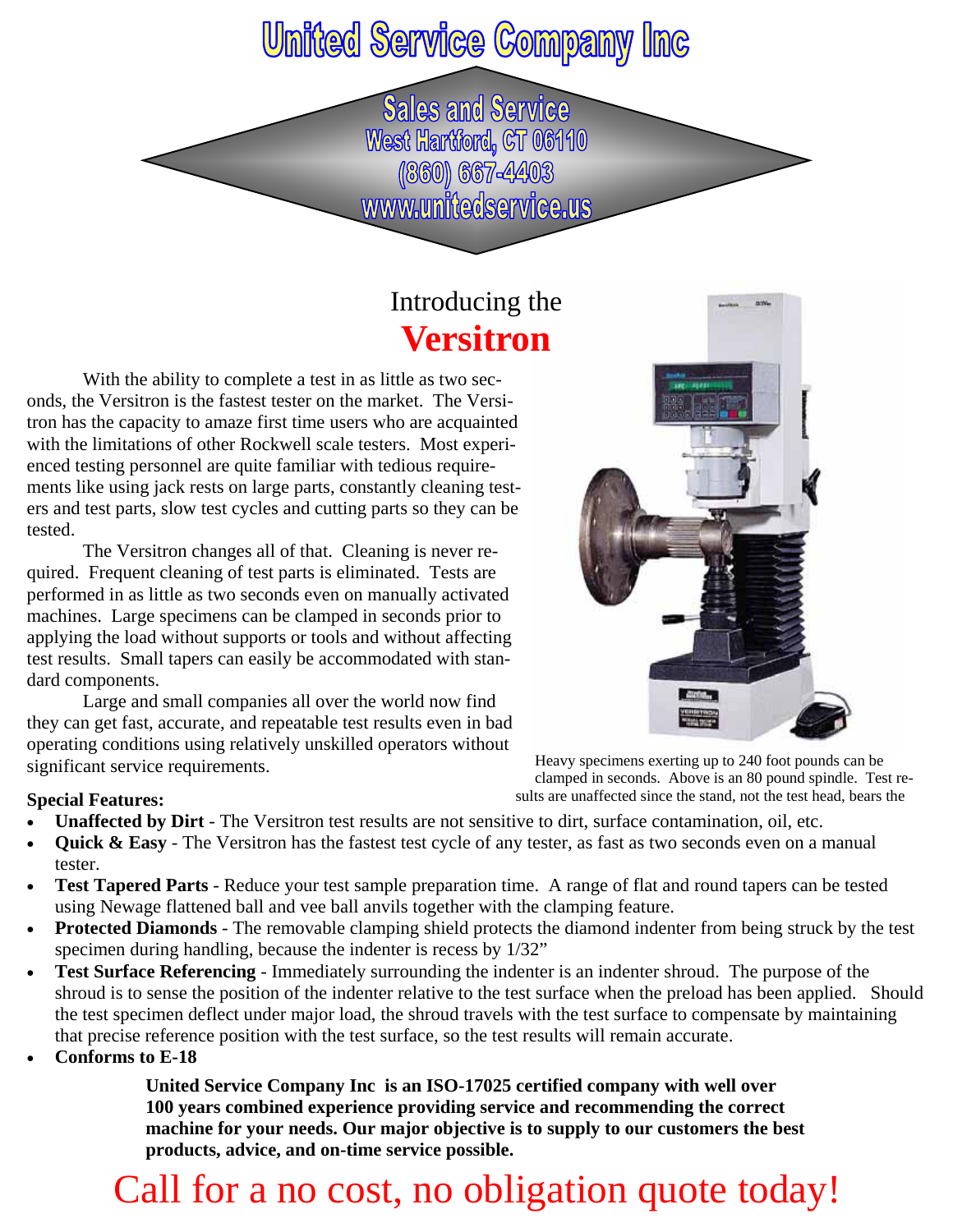# **United Service Company Inc**

**Sales and Service** West Hartford, CT 06110 (860) 667-4403 www.unitedservice.us

### Introducing the **Versitron**

 With the ability to complete a test in as little as two seconds, the Versitron is the fastest tester on the market. The Versitron has the capacity to amaze first time users who are acquainted with the limitations of other Rockwell scale testers. Most experienced testing personnel are quite familiar with tedious requirements like using jack rests on large parts, constantly cleaning testers and test parts, slow test cycles and cutting parts so they can be tested.

 The Versitron changes all of that. Cleaning is never required. Frequent cleaning of test parts is eliminated. Tests are performed in as little as two seconds even on manually activated machines. Large specimens can be clamped in seconds prior to applying the load without supports or tools and without affecting test results. Small tapers can easily be accommodated with standard components.

 Large and small companies all over the world now find they can get fast, accurate, and repeatable test results even in bad operating conditions using relatively unskilled operators without significant service requirements.



Heavy specimens exerting up to 240 foot pounds can be clamped in seconds. Above is an 80 pound spindle. Test results are unaffected since the stand, not the test head, bears the

#### **Special Features:**

- **Unaffected by Dirt**  The Versitron test results are not sensitive to dirt, surface contamination, oil, etc.
- **Quick & Easy**  The Versitron has the fastest test cycle of any tester, as fast as two seconds even on a manual tester.
- **Test Tapered Parts**  Reduce your test sample preparation time. A range of flat and round tapers can be tested using Newage flattened ball and vee ball anvils together with the clamping feature.
- **Protected Diamonds** The removable clamping shield protects the diamond indenter from being struck by the test specimen during handling, because the indenter is recess by 1/32"
- **Test Surface Referencing**  Immediately surrounding the indenter is an indenter shroud. The purpose of the shroud is to sense the position of the indenter relative to the test surface when the preload has been applied. Should the test specimen deflect under major load, the shroud travels with the test surface to compensate by maintaining that precise reference position with the test surface, so the test results will remain accurate.
- **Conforms to E-18**

**United Service Company Inc is an ISO-17025 certified company with well over 100 years combined experience providing service and recommending the correct machine for your needs. Our major objective is to supply to our customers the best products, advice, and on-time service possible.** 

## Call for a no cost, no obligation quote today!